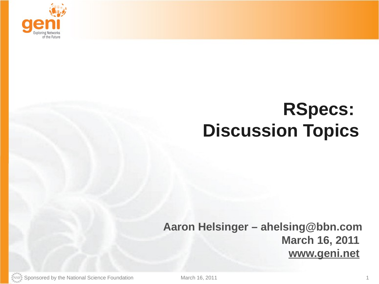

## **RSpecs: Discussion Topics**

## **Aaron Helsinger – ahelsing@bbn.com March 16, 2011 www.geni.net**

Sponsored by the National Science Foundation March 16, 2011 March 16, 2011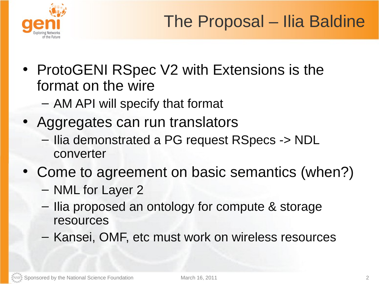

- ProtoGENI RSpec V2 with Extensions is the format on the wire
	- AM API will specify that format
- Aggregates can run translators
	- Ilia demonstrated a PG request RSpecs -> NDL converter
- Come to agreement on basic semantics (when?)
	- NML for Layer 2
	- Ilia proposed an ontology for compute & storage resources
	- Kansei, OMF, etc must work on wireless resources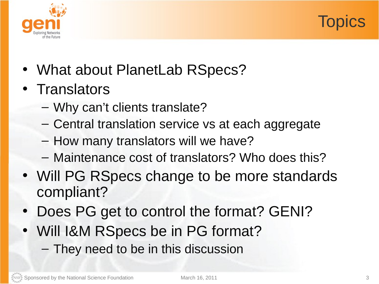



- What about PlanetLab RSpecs?
- Translators
	- Why can't clients translate?
	- Central translation service vs at each aggregate
	- How many translators will we have?
	- Maintenance cost of translators? Who does this?
- Will PG RSpecs change to be more standards compliant?
- Does PG get to control the format? GENI?
- Will I&M RSpecs be in PG format? – They need to be in this discussion